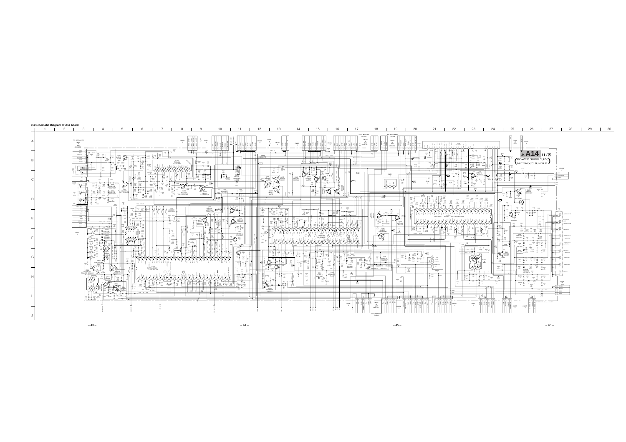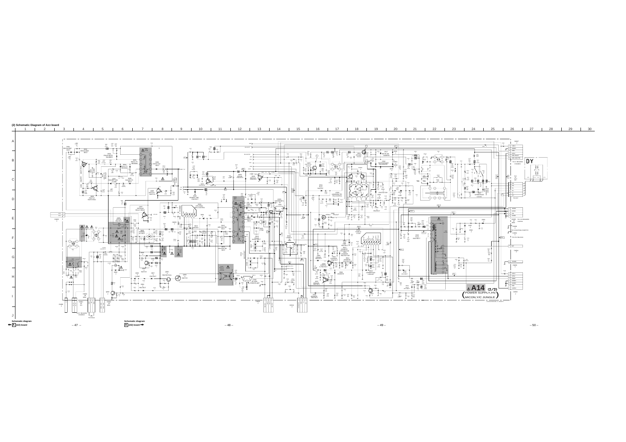

4 | 5 | 6 | 7 | 8 | 9 | 10 | 11 | 12 | 13 | 14 | 15 | 16 | 17 | 18 | 19 | 20 | 21 | 22 | 23 | 24 | 25 | 26 | 27 | 28 | 29 | 30